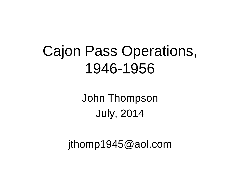#### Cajon Pass Operations, 1946-1956

John Thompson July, 2014

jthomp1945@aol.com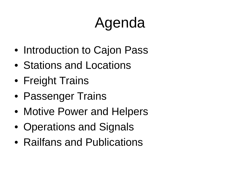## Agenda

- Introduction to Cajon Pass
- Stations and Locations
- Freight Trains
- Passenger Trains
- Motive Power and Helpers
- Operations and Signals
- Railfans and Publications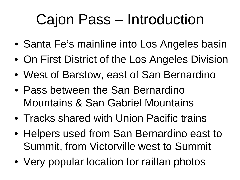## Cajon Pass – Introduction

- Santa Fe's mainline into Los Angeles basin
- On First District of the Los Angeles Division
- West of Barstow, east of San Bernardino
- Pass between the San Bernardino Mountains & San Gabriel Mountains
- Tracks shared with Union Pacific trains
- Helpers used from San Bernardino east to Summit, from Victorville west to Summit
- Very popular location for railfan photos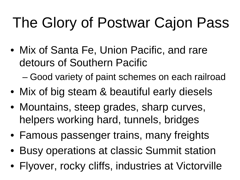## The Glory of Postwar Cajon Pass

• Mix of Santa Fe, Union Pacific, and rare detours of Southern Pacific

– Good variety of paint schemes on each railroad

- Mix of big steam & beautiful early diesels
- Mountains, steep grades, sharp curves, helpers working hard, tunnels, bridges
- Famous passenger trains, many freights
- Busy operations at classic Summit station
- Flyover, rocky cliffs, industries at Victorville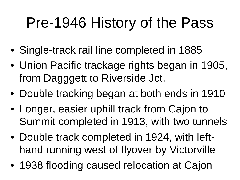### Pre-1946 History of the Pass

- Single-track rail line completed in 1885
- Union Pacific trackage rights began in 1905, from Dagggett to Riverside Jct.
- Double tracking began at both ends in 1910
- Longer, easier uphill track from Cajon to Summit completed in 1913, with two tunnels
- Double track completed in 1924, with lefthand running west of flyover by Victorville
- 1938 flooding caused relocation at Cajon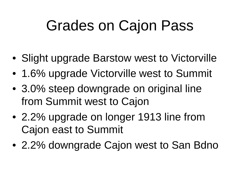### Grades on Cajon Pass

- Slight upgrade Barstow west to Victorville
- 1.6% upgrade Victorville west to Summit
- 3.0% steep downgrade on original line from Summit west to Cajon
- 2.2% upgrade on longer 1913 line from Cajon east to Summit
- 2.2% downgrade Cajon west to San Bdno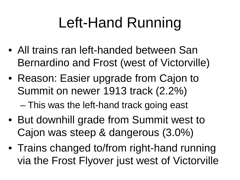## Left-Hand Running

- All trains ran left-handed between San Bernardino and Frost (west of Victorville)
- Reason: Easier upgrade from Cajon to Summit on newer 1913 track (2.2%)

– This was the left-hand track going east

- But downhill grade from Summit west to Cajon was steep & dangerous (3.0%)
- Trains changed to/from right-hand running via the Frost Flyover just west of Victorville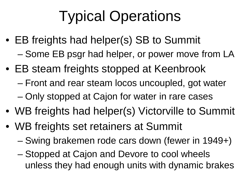# Typical Operations

- EB freights had helper(s) SB to Summit
	- Some EB psgr had helper, or power move from LA
- EB steam freights stopped at Keenbrook
	- Front and rear steam locos uncoupled, got water
	- Only stopped at Cajon for water in rare cases
- WB freights had helper(s) Victorville to Summit
- WB freights set retainers at Summit
	- Swing brakemen rode cars down (fewer in 1949+)
	- Stopped at Cajon and Devore to cool wheels unless they had enough units with dynamic brakes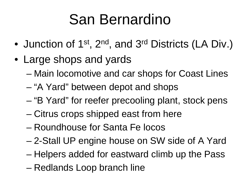## San Bernardino

- Junction of 1<sup>st</sup>, 2<sup>nd</sup>, and 3<sup>rd</sup> Districts (LA Div.)
- Large shops and yards
	- Main locomotive and car shops for Coast Lines
	- "A Yard" between depot and shops
	- "B Yard" for reefer precooling plant, stock pens
	- Citrus crops shipped east from here
	- Roundhouse for Santa Fe locos
	- 2-Stall UP engine house on SW side of A Yard
	- Helpers added for eastward climb up the Pass
	- Redlands Loop branch line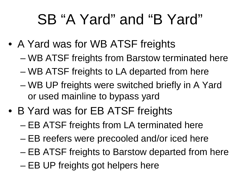### SB "A Yard" and "B Yard"

- A Yard was for WB ATSF freights
	- WB ATSF freights from Barstow terminated here
	- WB ATSF freights to LA departed from here
	- WB UP freights were switched briefly in A Yard or used mainline to bypass yard
- B Yard was for EB ATSF freights
	- EB ATSF freights from LA terminated here
	- EB reefers were precooled and/or iced here
	- EB ATSF freights to Barstow departed from here
	- EB UP freights got helpers here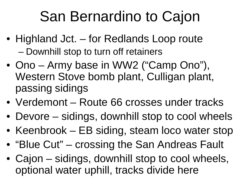## San Bernardino to Cajon

- Highland Jct. for Redlands Loop route
	- Downhill stop to turn off retainers
- Ono Army base in WW2 ("Camp Ono"), Western Stove bomb plant, Culligan plant, passing sidings
- Verdemont Route 66 crosses under tracks
- Devore sidings, downhill stop to cool wheels
- Keenbrook EB siding, steam loco water stop
- "Blue Cut" crossing the San Andreas Fault
- Cajon sidings, downhill stop to cool wheels, optional water uphill, tracks divide here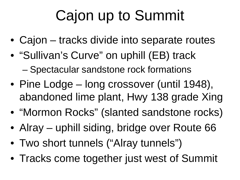## Cajon up to Summit

- Cajon tracks divide into separate routes
- "Sullivan's Curve" on uphill (EB) track – Spectacular sandstone rock formations
- Pine Lodge long crossover (until 1948), abandoned lime plant, Hwy 138 grade Xing
- "Mormon Rocks" (slanted sandstone rocks)
- Alray uphill siding, bridge over Route 66
- Two short tunnels ("Alray tunnels")
- Tracks come together just west of Summit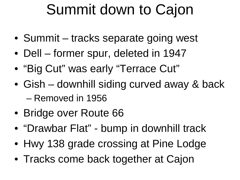#### Summit down to Cajon

- Summit tracks separate going west
- Dell former spur, deleted in 1947
- "Big Cut" was early "Terrace Cut"
- Gish downhill siding curved away & back – Removed in 1956
- Bridge over Route 66
- "Drawbar Flat" bump in downhill track
- Hwy 138 grade crossing at Pine Lodge
- Tracks come back together at Cajon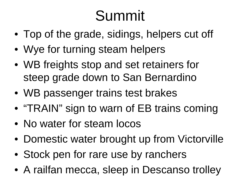## Summit

- Top of the grade, sidings, helpers cut off
- Wye for turning steam helpers
- WB freights stop and set retainers for steep grade down to San Bernardino
- WB passenger trains test brakes
- "TRAIN" sign to warn of EB trains coming
- No water for steam locos
- Domestic water brought up from Victorville
- Stock pen for rare use by ranchers
- A railfan mecca, sleep in Descanso trolley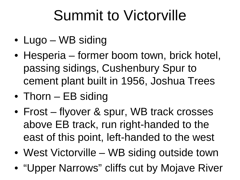## Summit to Victorville

- Lugo WB siding
- Hesperia former boom town, brick hotel, passing sidings, Cushenbury Spur to cement plant built in 1956, Joshua Trees
- Thorn EB siding
- Frost flyover & spur, WB track crosses above EB track, run right-handed to the east of this point, left-handed to the west
- West Victorville WB siding outside town
- "Upper Narrows" cliffs cut by Mojave River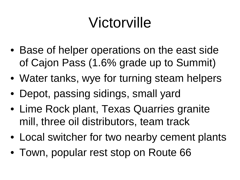## Victorville

- Base of helper operations on the east side of Cajon Pass (1.6% grade up to Summit)
- Water tanks, wye for turning steam helpers
- Depot, passing sidings, small yard
- Lime Rock plant, Texas Quarries granite mill, three oil distributors, team track
- Local switcher for two nearby cement plants
- Town, popular rest stop on Route 66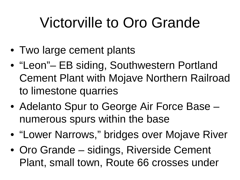## Victorville to Oro Grande

- Two large cement plants
- "Leon"– EB siding, Southwestern Portland Cement Plant with Mojave Northern Railroad to limestone quarries
- Adelanto Spur to George Air Force Base numerous spurs within the base
- "Lower Narrows," bridges over Mojave River
- Oro Grande sidings, Riverside Cement Plant, small town, Route 66 crosses under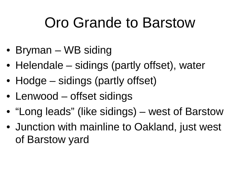### Oro Grande to Barstow

- Bryman WB siding
- Helendale sidings (partly offset), water
- Hodge sidings (partly offset)
- Lenwood offset sidings
- "Long leads" (like sidings) west of Barstow
- Junction with mainline to Oakland, just west of Barstow yard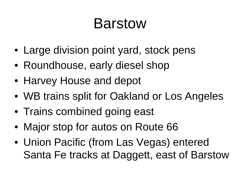#### Barstow

- Large division point yard, stock pens
- Roundhouse, early diesel shop
- Harvey House and depot
- WB trains split for Oakland or Los Angeles
- Trains combined going east
- Major stop for autos on Route 66
- Union Pacific (from Las Vegas) entered Santa Fe tracks at Daggett, east of Barstow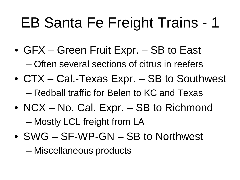## EB Santa Fe Freight Trains - 1

- GFX Green Fruit Expr. SB to East – Often several sections of citrus in reefers
- CTX Cal.-Texas Expr. SB to Southwest – Redball traffic for Belen to KC and Texas
- NCX No. Cal. Expr. SB to Richmond – Mostly LCL freight from LA
- SWG SF-WP-GN SB to Northwest

– Miscellaneous products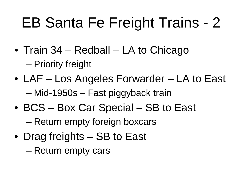## EB Santa Fe Freight Trains - 2

- Train 34 Redball LA to Chicago – Priority freight
- LAF Los Angeles Forwarder LA to East – Mid-1950s – Fast piggyback train
- BCS Box Car Special SB to East – Return empty foreign boxcars
- Drag freights SB to East
	- Return empty cars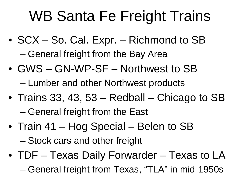## WB Santa Fe Freight Trains

- SCX So. Cal. Expr. Richmond to SB – General freight from the Bay Area
- GWS GN-WP-SF Northwest to SB – Lumber and other Northwest products
- Trains 33, 43, 53 Redball Chicago to SB
	- General freight from the East
- Train 41 Hog Special Belen to SB
	- Stock cars and other freight
- TDF Texas Daily Forwarder Texas to LA – General freight from Texas, "TLA" in mid-1950s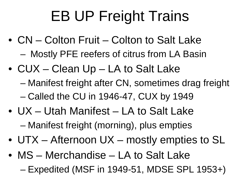# EB UP Freight Trains

- CN Colton Fruit Colton to Salt Lake – Mostly PFE reefers of citrus from LA Basin
- CUX Clean Up LA to Salt Lake
	- Manifest freight after CN, sometimes drag freight – Called the CU in 1946-47, CUX by 1949
- UX Utah Manifest LA to Salt Lake – Manifest freight (morning), plus empties
- UTX Afternoon UX mostly empties to SL
- MS Merchandise LA to Salt Lake
	- Expedited (MSF in 1949-51, MDSE SPL 1953+)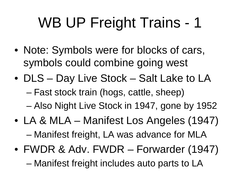## WB UP Freight Trains - 1

- Note: Symbols were for blocks of cars, symbols could combine going west
- DLS Day Live Stock Salt Lake to LA – Fast stock train (hogs, cattle, sheep) – Also Night Live Stock in 1947, gone by 1952
- LA & MLA Manifest Los Angeles (1947) – Manifest freight, LA was advance for MLA
- FWDR & Adv. FWDR Forwarder (1947) – Manifest freight includes auto parts to LA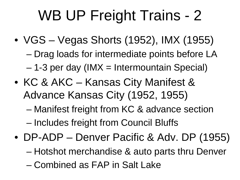## WB UP Freight Trains - 2

- VGS Vegas Shorts (1952), IMX (1955) – Drag loads for intermediate points before LA  $-$  1-3 per day (IMX = Intermountain Special)
- KC & AKC Kansas City Manifest & Advance Kansas City (1952, 1955) – Manifest freight from KC & advance section

– Includes freight from Council Bluffs

- DP-ADP Denver Pacific & Adv. DP (1955)
	- Hotshot merchandise & auto parts thru Denver
	- Combined as FAP in Salt Lake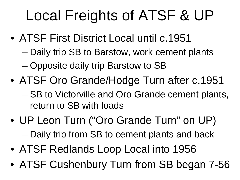## Local Freights of ATSF & UP

- ATSF First District Local until c.1951
	- Daily trip SB to Barstow, work cement plants
	- Opposite daily trip Barstow to SB
- ATSF Oro Grande/Hodge Turn after c.1951 – SB to Victorville and Oro Grande cement plants, return to SB with loads
- UP Leon Turn ("Oro Grande Turn" on UP) – Daily trip from SB to cement plants and back
- ATSF Redlands Loop Local into 1956
- ATSF Cushenbury Turn from SB began 7-56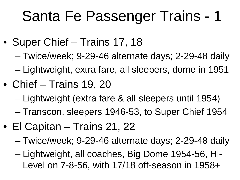## Santa Fe Passenger Trains - 1

- Super Chief Trains 17, 18
	- Twice/week; 9-29-46 alternate days; 2-29-48 daily
	- Lightweight, extra fare, all sleepers, dome in 1951
- Chief Trains 19, 20
	- Lightweight (extra fare & all sleepers until 1954)
	- Transcon. sleepers 1946-53, to Super Chief 1954
- El Capitan Trains 21, 22
	- Twice/week; 9-29-46 alternate days; 2-29-48 daily
	- Lightweight, all coaches, Big Dome 1954-56, Hi-Level on 7-8-56, with 17/18 off-season in 1958+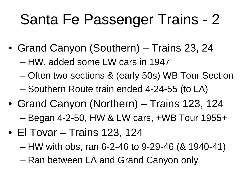## Santa Fe Passenger Trains - 2

- Grand Canyon (Southern) Trains 23, 24
	- HW, added some LW cars in 1947
	- Often two sections & (early 50s) WB Tour Section
	- Southern Route train ended 4-24-55 (to LA)
- Grand Canyon (Northern) Trains 123, 124 – Began 4-2-50, HW & LW cars, +WB Tour 1955+
- El Tovar Trains 123, 124
	- HW with obs, ran 6-2-46 to 9-29-46 (& 1940-41)
	- Ran between LA and Grand Canyon only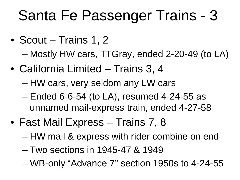## Santa Fe Passenger Trains - 3

- Scout Trains 1, 2
	- Mostly HW cars, TTGray, ended 2-20-49 (to LA)
- California Limited Trains 3, 4
	- HW cars, very seldom any LW cars
	- Ended 6-6-54 (to LA), resumed 4-24-55 as unnamed mail-express train, ended 4-27-58
- Fast Mail Express Trains 7, 8
	- HW mail & express with rider combine on end
	- Two sections in 1945-47 & 1949
	- WB-only "Advance 7" section 1950s to 4-24-55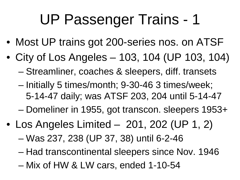- Most UP trains got 200-series nos. on ATSF
- City of Los Angeles 103, 104 (UP 103, 104) – Streamliner, coaches & sleepers, diff. transets
	- Initially 5 times/month; 9-30-46 3 times/week; 5-14-47 daily; was ATSF 203, 204 until 5-14-47
	- Domeliner in 1955, got transcon. sleepers 1953+
- Los Angeles Limited 201, 202 (UP 1, 2)
	- Was 237, 238 (UP 37, 38) until 6-2-46
	- Had transcontinental sleepers since Nov. 1946
	- Mix of HW & LW cars, ended 1-10-54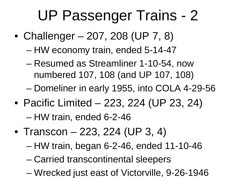- Challenger 207, 208 (UP 7, 8)
	- HW economy train, ended 5-14-47
	- Resumed as Streamliner 1-10-54, now numbered 107, 108 (and UP 107, 108)
	- Domeliner in early 1955, into COLA 4-29-56
- Pacific Limited 223, 224 (UP 23, 24) – HW train, ended 6-2-46
- Transcon 223, 224 (UP 3, 4)
	- HW train, began 6-2-46, ended 11-10-46
	- Carried transcontinental sleepers
	- Wrecked just east of Victorville, 9-26-1946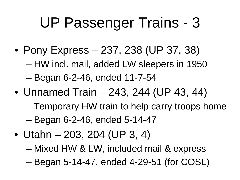- Pony Express 237, 238 (UP 37, 38)
	- HW incl. mail, added LW sleepers in 1950
	- Began 6-2-46, ended 11-7-54
- Unnamed Train 243, 244 (UP 43, 44)
	- Temporary HW train to help carry troops home – Began 6-2-46, ended 5-14-47
- Utahn 203, 204 (UP 3, 4)
	- Mixed HW & LW, included mail & express
	- Began 5-14-47, ended 4-29-51 (for COSL)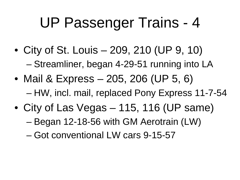- City of St. Louis 209, 210 (UP 9, 10) – Streamliner, began 4-29-51 running into LA
- Mail & Express 205, 206 (UP 5, 6) – HW, incl. mail, replaced Pony Express 11-7-54
- City of Las Vegas 115, 116 (UP same)
	- Began 12-18-56 with GM Aerotrain (LW)
	- Got conventional LW cars 9-15-57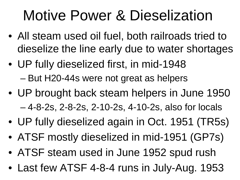#### Motive Power & Dieselization

- All steam used oil fuel, both railroads tried to dieselize the line early due to water shortages
- UP fully dieselized first, in mid-1948 – But H20-44s were not great as helpers
- UP brought back steam helpers in June 1950 – 4-8-2s, 2-8-2s, 2-10-2s, 4-10-2s, also for locals
- UP fully dieselized again in Oct. 1951 (TR5s)
- ATSF mostly dieselized in mid-1951 (GP7s)
- ATSF steam used in June 1952 spud rush
- Last few ATSF 4-8-4 runs in July-Aug. 1953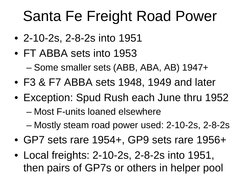### Santa Fe Freight Road Power

- 2-10-2s, 2-8-2s into 1951
- FT ABBA sets into 1953 – Some smaller sets (ABB, ABA, AB) 1947+
- F3 & F7 ABBA sets 1948, 1949 and later
- Exception: Spud Rush each June thru 1952
	- Most F-units loaned elsewhere
	- Mostly steam road power used: 2-10-2s, 2-8-2s
- GP7 sets rare 1954+, GP9 sets rare 1956+
- Local freights: 2-10-2s, 2-8-2s into 1951, then pairs of GP7s or others in helper pool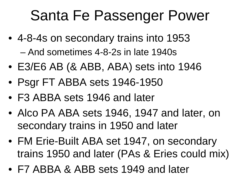#### Santa Fe Passenger Power

- 4-8-4s on secondary trains into 1953 – And sometimes 4-8-2s in late 1940s
- E3/E6 AB (& ABB, ABA) sets into 1946
- Psgr FT ABBA sets 1946-1950
- F3 ABBA sets 1946 and later
- Alco PA ABA sets 1946, 1947 and later, on secondary trains in 1950 and later
- FM Erie-Built ABA set 1947, on secondary trains 1950 and later (PAs & Eries could mix)
- F7 ABBA & ABB sets 1949 and later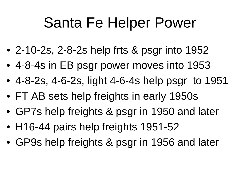#### Santa Fe Helper Power

- 2-10-2s, 2-8-2s help frts & psgr into 1952
- 4-8-4s in EB psgr power moves into 1953
- 4-8-2s, 4-6-2s, light 4-6-4s help psgr to 1951
- FT AB sets help freights in early 1950s
- GP7s help freights & psgr in 1950 and later
- H16-44 pairs help freights 1951-52
- GP9s help freights & psgr in 1956 and later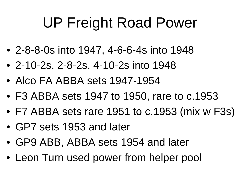## UP Freight Road Power

- 2-8-8-0s into 1947, 4-6-6-4s into 1948
- 2-10-2s, 2-8-2s, 4-10-2s into 1948
- Alco FA ABBA sets 1947-1954
- F3 ABBA sets 1947 to 1950, rare to c.1953
- F7 ABBA sets rare 1951 to c.1953 (mix w F3s)
- GP7 sets 1953 and later
- GP9 ABB, ABBA sets 1954 and later
- Leon Turn used power from helper pool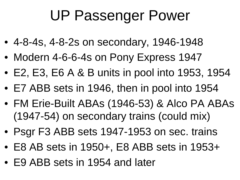### UP Passenger Power

- 4-8-4s, 4-8-2s on secondary, 1946-1948
- Modern 4-6-6-4s on Pony Express 1947
- E2, E3, E6 A & B units in pool into 1953, 1954
- E7 ABB sets in 1946, then in pool into 1954
- FM Erie-Built ABAs (1946-53) & Alco PA ABAs (1947-54) on secondary trains (could mix)
- Psgr F3 ABB sets 1947-1953 on sec. trains
- E8 AB sets in 1950+, E8 ABB sets in 1953+
- E9 ABB sets in 1954 and later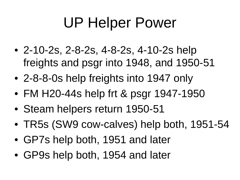## UP Helper Power

- 2-10-2s, 2-8-2s, 4-8-2s, 4-10-2s help freights and psgr into 1948, and 1950-51
- 2-8-8-0s help freights into 1947 only
- FM H20-44s help frt & psgr 1947-1950
- Steam helpers return 1950-51
- TR5s (SW9 cow-calves) help both, 1951-54
- GP7s help both, 1951 and later
- GP9s help both, 1954 and later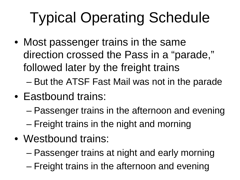# Typical Operating Schedule

• Most passenger trains in the same direction crossed the Pass in a "parade," followed later by the freight trains

– But the ATSF Fast Mail was not in the parade

- Eastbound trains:
	- Passenger trains in the afternoon and evening – Freight trains in the night and morning
- Westbound trains:
	- Passenger trains at night and early morning
	- Freight trains in the afternoon and evening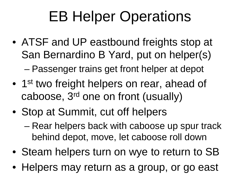## EB Helper Operations

- ATSF and UP eastbound freights stop at San Bernardino B Yard, put on helper(s) – Passenger trains get front helper at depot
- 1<sup>st</sup> two freight helpers on rear, ahead of caboose, 3rd one on front (usually)
- Stop at Summit, cut off helpers
	- Rear helpers back with caboose up spur track behind depot, move, let caboose roll down
- Steam helpers turn on wye to return to SB
- Helpers may return as a group, or go east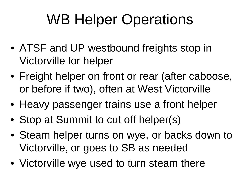## WB Helper Operations

- ATSF and UP westbound freights stop in Victorville for helper
- Freight helper on front or rear (after caboose, or before if two), often at West Victorville
- Heavy passenger trains use a front helper
- Stop at Summit to cut off helper(s)
- Steam helper turns on wye, or backs down to Victorville, or goes to SB as needed
- Victorville wye used to turn steam there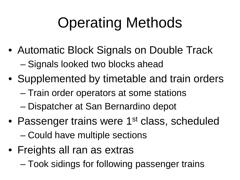## Operating Methods

- Automatic Block Signals on Double Track – Signals looked two blocks ahead
- Supplemented by timetable and train orders
	- Train order operators at some stations
	- Dispatcher at San Bernardino depot
- Passenger trains were 1<sup>st</sup> class, scheduled – Could have multiple sections
- Freights all ran as extras
	- Took sidings for following passenger trains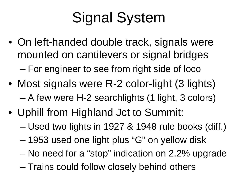# Signal System

- On left-handed double track, signals were mounted on cantilevers or signal bridges – For engineer to see from right side of loco
- Most signals were R-2 color-light (3 lights) – A few were H-2 searchlights (1 light, 3 colors)
- Uphill from Highland Jct to Summit:
	- Used two lights in 1927 & 1948 rule books (diff.)
	- 1953 used one light plus "G" on yellow disk
	- No need for a "stop" indication on 2.2% upgrade
	- Trains could follow closely behind others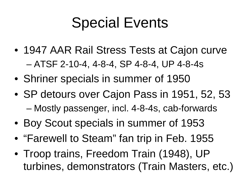### Special Events

- 1947 AAR Rail Stress Tests at Cajon curve – ATSF 2-10-4, 4-8-4, SP 4-8-4, UP 4-8-4s
- Shriner specials in summer of 1950
- SP detours over Cajon Pass in 1951, 52, 53 – Mostly passenger, incl. 4-8-4s, cab-forwards
- Boy Scout specials in summer of 1953
- "Farewell to Steam" fan trip in Feb. 1955
- Troop trains, Freedom Train (1948), UP turbines, demonstrators (Train Masters, etc.)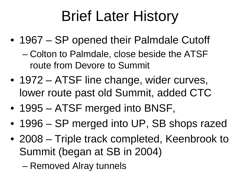## Brief Later History

- 1967 SP opened their Palmdale Cutoff
	- Colton to Palmdale, close beside the ATSF route from Devore to Summit
- 1972 ATSF line change, wider curves, lower route past old Summit, added CTC
- 1995 ATSF merged into BNSF,
- 1996 SP merged into UP, SB shops razed
- 2008 Triple track completed, Keenbrook to Summit (began at SB in 2004)
	- Removed Alray tunnels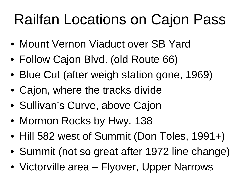## Railfan Locations on Cajon Pass

- Mount Vernon Viaduct over SB Yard
- Follow Cajon Blvd. (old Route 66)
- Blue Cut (after weigh station gone, 1969)
- Cajon, where the tracks divide
- Sullivan's Curve, above Cajon
- Mormon Rocks by Hwy. 138
- Hill 582 west of Summit (Don Toles, 1991+)
- Summit (not so great after 1972 line change)
- Victorville area Flyover, Upper Narrows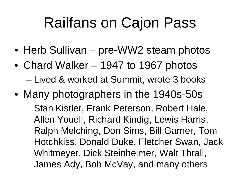#### Railfans on Cajon Pass

- Herb Sullivan pre-WW2 steam photos
- Chard Walker 1947 to 1967 photos – Lived & worked at Summit, wrote 3 books
- Many photographers in the 1940s-50s
	- Stan Kistler, Frank Peterson, Robert Hale, Allen Youell, Richard Kindig, Lewis Harris, Ralph Melching, Don Sims, Bill Garner, Tom Hotchkiss, Donald Duke, Fletcher Swan, Jack Whitmeyer, Dick Steinheimer, Walt Thrall, James Ady, Bob McVay, and many others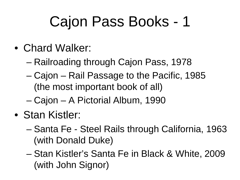- Chard Walker:
	- Railroading through Cajon Pass, 1978
	- Cajon Rail Passage to the Pacific, 1985 (the most important book of all)
	- Cajon A Pictorial Album, 1990
- Stan Kistler:
	- Santa Fe Steel Rails through California, 1963 (with Donald Duke)
	- Stan Kistler's Santa Fe in Black & White, 2009 (with John Signor)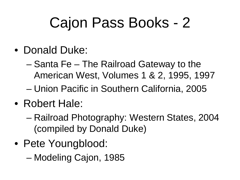- Donald Duke:
	- Santa Fe The Railroad Gateway to the American West, Volumes 1 & 2, 1995, 1997
	- Union Pacific in Southern California, 2005
- Robert Hale:
	- Railroad Photography: Western States, 2004 (compiled by Donald Duke)
- Pete Youngblood:
	- Modeling Cajon, 1985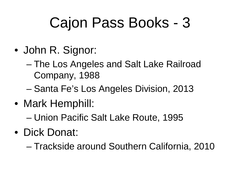- John R. Signor:
	- The Los Angeles and Salt Lake Railroad Company, 1988
	- Santa Fe's Los Angeles Division, 2013
- Mark Hemphill:

– Union Pacific Salt Lake Route, 1995

• Dick Donat:

– Trackside around Southern California, 2010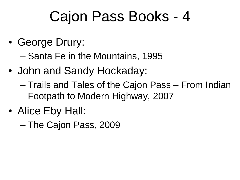• George Drury:

– Santa Fe in the Mountains, 1995

- John and Sandy Hockaday:
	- Trails and Tales of the Cajon Pass From Indian Footpath to Modern Highway, 2007
- Alice Eby Hall:
	- The Cajon Pass, 2009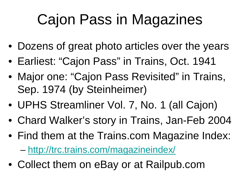## Cajon Pass in Magazines

- Dozens of great photo articles over the years
- Earliest: "Cajon Pass" in Trains, Oct. 1941
- Major one: "Cajon Pass Revisited" in Trains, Sep. 1974 (by Steinheimer)
- UPHS Streamliner Vol. 7, No. 1 (all Cajon)
- Chard Walker's story in Trains, Jan-Feb 2004
- Find them at the Trains.com Magazine Index:

– <http://trc.trains.com/magazineindex/>

• Collect them on eBay or at Railpub.com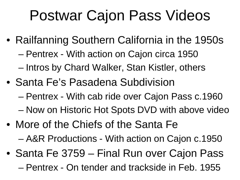### Postwar Cajon Pass Videos

- Railfanning Southern California in the 1950s
	- Pentrex With action on Cajon circa 1950
	- Intros by Chard Walker, Stan Kistler, others
- Santa Fe's Pasadena Subdivision
	- Pentrex With cab ride over Cajon Pass c.1960
	- Now on Historic Hot Spots DVD with above video
- More of the Chiefs of the Santa Fe
	- A&R Productions With action on Cajon c.1950
- Santa Fe 3759 Final Run over Cajon Pass – Pentrex - On tender and trackside in Feb. 1955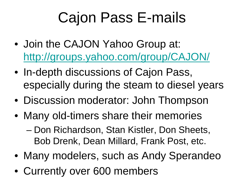## Cajon Pass E-mails

- Join the CAJON Yahoo Group at: <http://groups.yahoo.com/group/CAJON/>
- In-depth discussions of Cajon Pass, especially during the steam to diesel years
- Discussion moderator: John Thompson
- Many old-timers share their memories – Don Richardson, Stan Kistler, Don Sheets, Bob Drenk, Dean Millard, Frank Post, etc.
- Many modelers, such as Andy Sperandeo
- Currently over 600 members